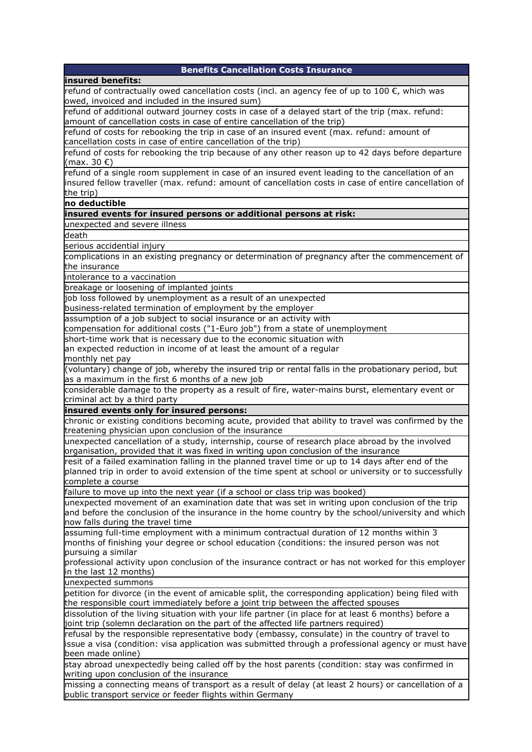| <b>Benefits Cancellation Costs Insurance</b>                                                             |
|----------------------------------------------------------------------------------------------------------|
| insured benefits:                                                                                        |
| refund of contractually owed cancellation costs (incl. an agency fee of up to 100 $\epsilon$ , which was |
| owed, invoiced and included in the insured sum)                                                          |
| refund of additional outward journey costs in case of a delayed start of the trip (max. refund:          |
| amount of cancellation costs in case of entire cancellation of the trip)                                 |
| refund of costs for rebooking the trip in case of an insured event (max. refund: amount of               |
| cancellation costs in case of entire cancellation of the trip)                                           |
| refund of costs for rebooking the trip because of any other reason up to 42 days before departure        |
| (max. 30 €)                                                                                              |
| refund of a single room supplement in case of an insured event leading to the cancellation of an         |
| insured fellow traveller (max. refund: amount of cancellation costs in case of entire cancellation of    |
| the trip)                                                                                                |
| no deductible                                                                                            |
| insured events for insured persons or additional persons at risk:                                        |
| unexpected and severe illness                                                                            |
| death                                                                                                    |
| serious accidential injury                                                                               |
| complications in an existing pregnancy or determination of pregnancy after the commencement of           |
|                                                                                                          |
| the insurance                                                                                            |
| intolerance to a vaccination                                                                             |
| breakage or loosening of implanted joints                                                                |
| job loss followed by unemployment as a result of an unexpected                                           |
| business-related termination of employment by the employer                                               |
| assumption of a job subject to social insurance or an activity with                                      |
| compensation for additional costs ("1-Euro job") from a state of unemployment                            |
| short-time work that is necessary due to the economic situation with                                     |
| an expected reduction in income of at least the amount of a regular                                      |
| monthly net pay                                                                                          |
| (voluntary) change of job, whereby the insured trip or rental falls in the probationary period, but      |
| as a maximum in the first 6 months of a new job                                                          |
| considerable damage to the property as a result of fire, water-mains burst, elementary event or          |
| criminal act by a third party                                                                            |
| insured events only for insured persons:                                                                 |
| chronic or existing conditions becoming acute, provided that ability to travel was confirmed by the      |
| treatening physician upon conclusion of the insurance                                                    |
| unexpected cancellation of a study, internship, course of research place abroad by the involved          |
| organisation, provided that it was fixed in writing upon conclusion of the insurance                     |
| resit of a failed examination falling in the planned travel time or up to 14 days after end of the       |
| planned trip in order to avoid extension of the time spent at school or university or to successfully    |
| complete a course                                                                                        |
| failure to move up into the next year (if a school or class trip was booked)                             |
| unexpected movement of an examination date that was set in writing upon conclusion of the trip           |
| and before the conclusion of the insurance in the home country by the school/university and which        |
| now falls during the travel time                                                                         |
| assuming full-time employment with a minimum contractual duration of 12 months within 3                  |
| months of finishing your degree or school education (conditions: the insured person was not              |
| pursuing a similar                                                                                       |
| professional activity upon conclusion of the insurance contract or has not worked for this employer      |
| in the last 12 months)                                                                                   |
| unexpected summons                                                                                       |
| petition for divorce (in the event of amicable split, the corresponding application) being filed with    |
| the responsible court immediately before a joint trip between the affected spouses                       |
| dissolution of the living situation with your life partner (in place for at least 6 months) before a     |
| joint trip (solemn declaration on the part of the affected life partners required)                       |
| refusal by the responsible representative body (embassy, consulate) in the country of travel to          |
| issue a visa (condition: visa application was submitted through a professional agency or must have       |
| been made online)                                                                                        |
| stay abroad unexpectedly being called off by the host parents (condition: stay was confirmed in          |
| writing upon conclusion of the insurance                                                                 |
| missing a connecting means of transport as a result of delay (at least 2 hours) or cancellation of a     |
| public transport service or feeder flights within Germany                                                |
|                                                                                                          |